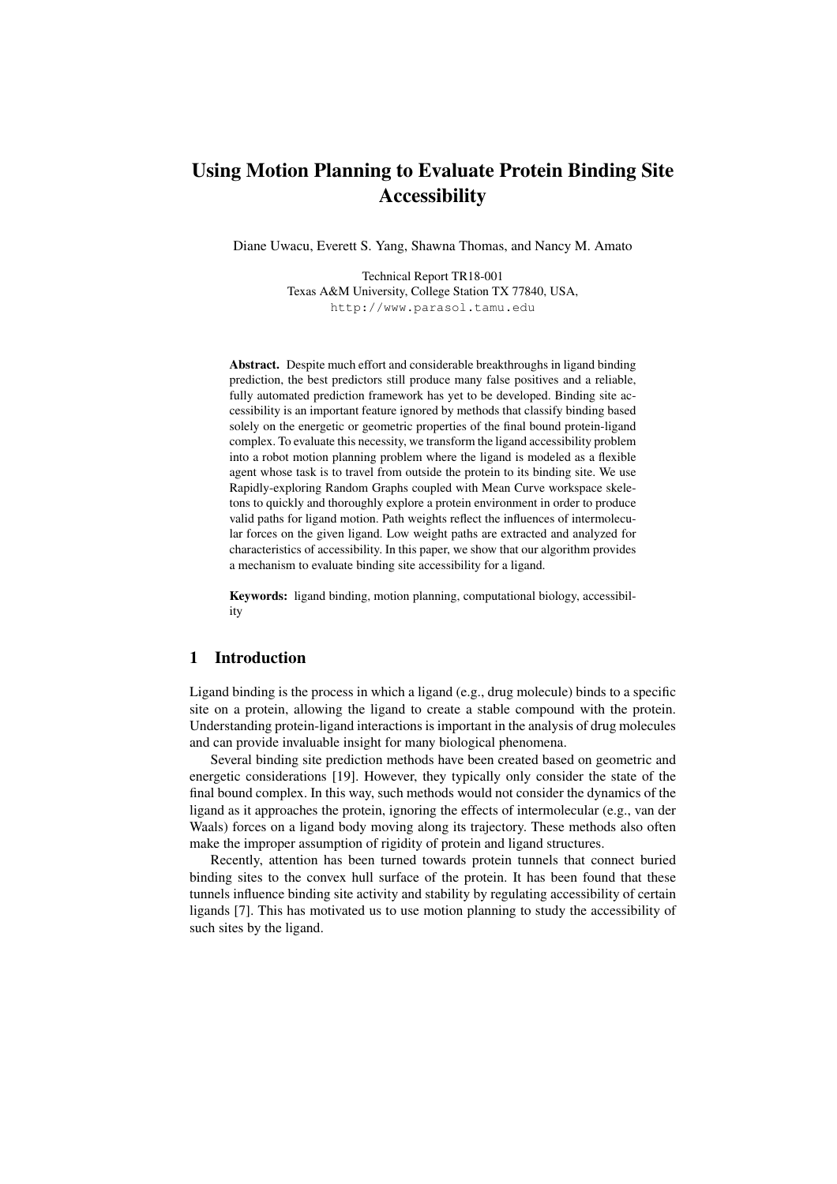# Using Motion Planning to Evaluate Protein Binding Site Accessibility

Diane Uwacu, Everett S. Yang, Shawna Thomas, and Nancy M. Amato

Technical Report TR18-001 Texas A&M University, College Station TX 77840, USA, http://www.parasol.tamu.edu

Abstract. Despite much effort and considerable breakthroughs in ligand binding prediction, the best predictors still produce many false positives and a reliable, fully automated prediction framework has yet to be developed. Binding site accessibility is an important feature ignored by methods that classify binding based solely on the energetic or geometric properties of the final bound protein-ligand complex. To evaluate this necessity, we transform the ligand accessibility problem into a robot motion planning problem where the ligand is modeled as a flexible agent whose task is to travel from outside the protein to its binding site. We use Rapidly-exploring Random Graphs coupled with Mean Curve workspace skeletons to quickly and thoroughly explore a protein environment in order to produce valid paths for ligand motion. Path weights reflect the influences of intermolecular forces on the given ligand. Low weight paths are extracted and analyzed for characteristics of accessibility. In this paper, we show that our algorithm provides a mechanism to evaluate binding site accessibility for a ligand.

Keywords: ligand binding, motion planning, computational biology, accessibility

# 1 Introduction

Ligand binding is the process in which a ligand (e.g., drug molecule) binds to a specific site on a protein, allowing the ligand to create a stable compound with the protein. Understanding protein-ligand interactions is important in the analysis of drug molecules and can provide invaluable insight for many biological phenomena.

Several binding site prediction methods have been created based on geometric and energetic considerations [19]. However, they typically only consider the state of the final bound complex. In this way, such methods would not consider the dynamics of the ligand as it approaches the protein, ignoring the effects of intermolecular (e.g., van der Waals) forces on a ligand body moving along its trajectory. These methods also often make the improper assumption of rigidity of protein and ligand structures.

Recently, attention has been turned towards protein tunnels that connect buried binding sites to the convex hull surface of the protein. It has been found that these tunnels influence binding site activity and stability by regulating accessibility of certain ligands [7]. This has motivated us to use motion planning to study the accessibility of such sites by the ligand.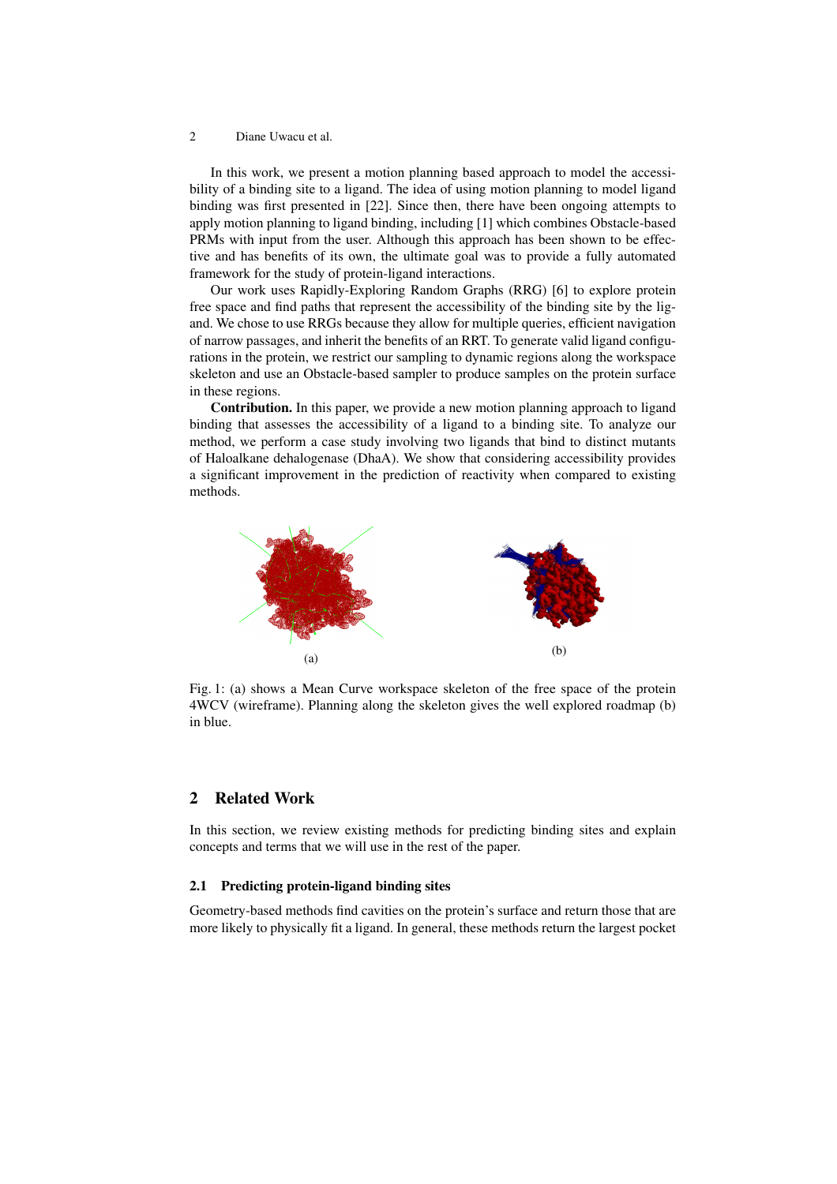In this work, we present a motion planning based approach to model the accessibility of a binding site to a ligand. The idea of using motion planning to model ligand binding was first presented in [22]. Since then, there have been ongoing attempts to apply motion planning to ligand binding, including [1] which combines Obstacle-based PRMs with input from the user. Although this approach has been shown to be effective and has benefits of its own, the ultimate goal was to provide a fully automated framework for the study of protein-ligand interactions.

Our work uses Rapidly-Exploring Random Graphs (RRG) [6] to explore protein free space and find paths that represent the accessibility of the binding site by the ligand. We chose to use RRGs because they allow for multiple queries, efficient navigation of narrow passages, and inherit the benefits of an RRT. To generate valid ligand configurations in the protein, we restrict our sampling to dynamic regions along the workspace skeleton and use an Obstacle-based sampler to produce samples on the protein surface in these regions.

Contribution. In this paper, we provide a new motion planning approach to ligand binding that assesses the accessibility of a ligand to a binding site. To analyze our method, we perform a case study involving two ligands that bind to distinct mutants of Haloalkane dehalogenase (DhaA). We show that considering accessibility provides a significant improvement in the prediction of reactivity when compared to existing methods.



Fig. 1: (a) shows a Mean Curve workspace skeleton of the free space of the protein 4WCV (wireframe). Planning along the skeleton gives the well explored roadmap (b) in blue.

# 2 Related Work

In this section, we review existing methods for predicting binding sites and explain concepts and terms that we will use in the rest of the paper.

## 2.1 Predicting protein-ligand binding sites

Geometry-based methods find cavities on the protein's surface and return those that are more likely to physically fit a ligand. In general, these methods return the largest pocket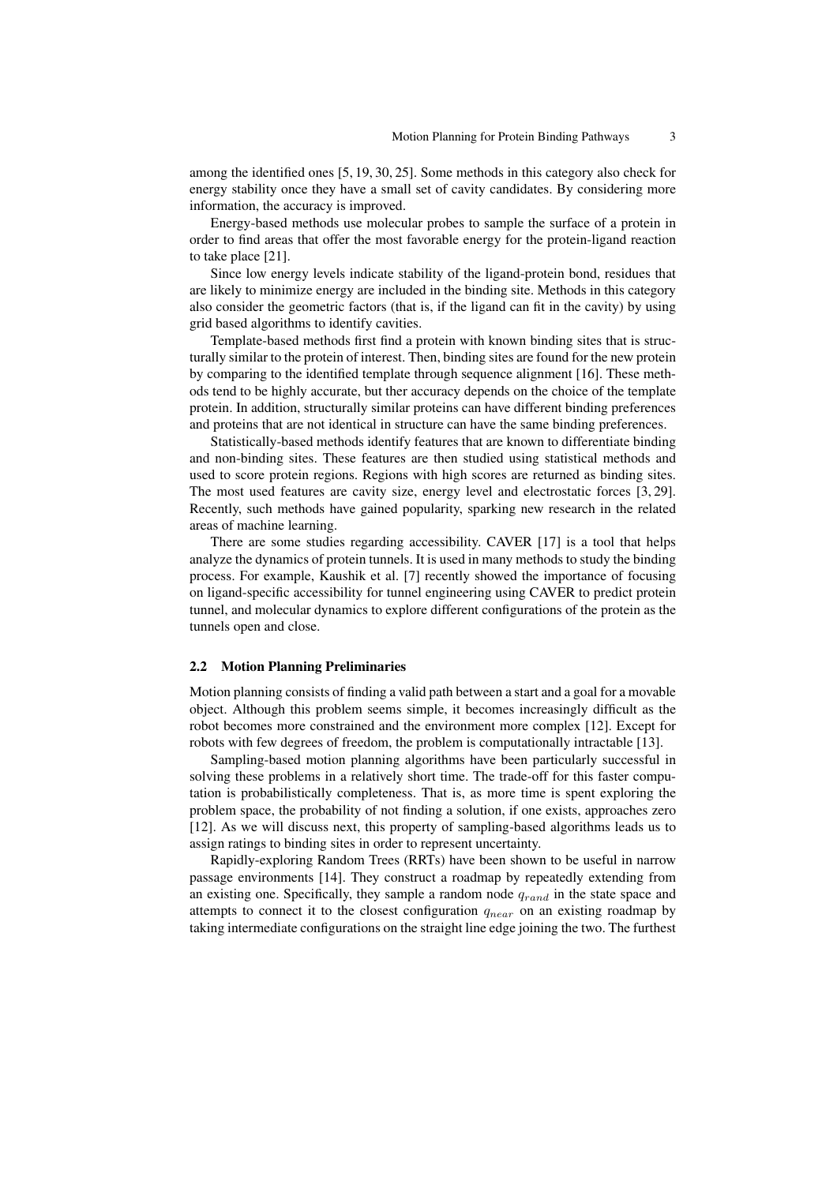among the identified ones [5, 19, 30, 25]. Some methods in this category also check for energy stability once they have a small set of cavity candidates. By considering more information, the accuracy is improved.

Energy-based methods use molecular probes to sample the surface of a protein in order to find areas that offer the most favorable energy for the protein-ligand reaction to take place [21].

Since low energy levels indicate stability of the ligand-protein bond, residues that are likely to minimize energy are included in the binding site. Methods in this category also consider the geometric factors (that is, if the ligand can fit in the cavity) by using grid based algorithms to identify cavities.

Template-based methods first find a protein with known binding sites that is structurally similar to the protein of interest. Then, binding sites are found for the new protein by comparing to the identified template through sequence alignment [16]. These methods tend to be highly accurate, but ther accuracy depends on the choice of the template protein. In addition, structurally similar proteins can have different binding preferences and proteins that are not identical in structure can have the same binding preferences.

Statistically-based methods identify features that are known to differentiate binding and non-binding sites. These features are then studied using statistical methods and used to score protein regions. Regions with high scores are returned as binding sites. The most used features are cavity size, energy level and electrostatic forces [3, 29]. Recently, such methods have gained popularity, sparking new research in the related areas of machine learning.

There are some studies regarding accessibility. CAVER [17] is a tool that helps analyze the dynamics of protein tunnels. It is used in many methods to study the binding process. For example, Kaushik et al. [7] recently showed the importance of focusing on ligand-specific accessibility for tunnel engineering using CAVER to predict protein tunnel, and molecular dynamics to explore different configurations of the protein as the tunnels open and close.

#### 2.2 Motion Planning Preliminaries

Motion planning consists of finding a valid path between a start and a goal for a movable object. Although this problem seems simple, it becomes increasingly difficult as the robot becomes more constrained and the environment more complex [12]. Except for robots with few degrees of freedom, the problem is computationally intractable [13].

Sampling-based motion planning algorithms have been particularly successful in solving these problems in a relatively short time. The trade-off for this faster computation is probabilistically completeness. That is, as more time is spent exploring the problem space, the probability of not finding a solution, if one exists, approaches zero [12]. As we will discuss next, this property of sampling-based algorithms leads us to assign ratings to binding sites in order to represent uncertainty.

Rapidly-exploring Random Trees (RRTs) have been shown to be useful in narrow passage environments [14]. They construct a roadmap by repeatedly extending from an existing one. Specifically, they sample a random node  $q_{rand}$  in the state space and attempts to connect it to the closest configuration  $q_{near}$  on an existing roadmap by taking intermediate configurations on the straight line edge joining the two. The furthest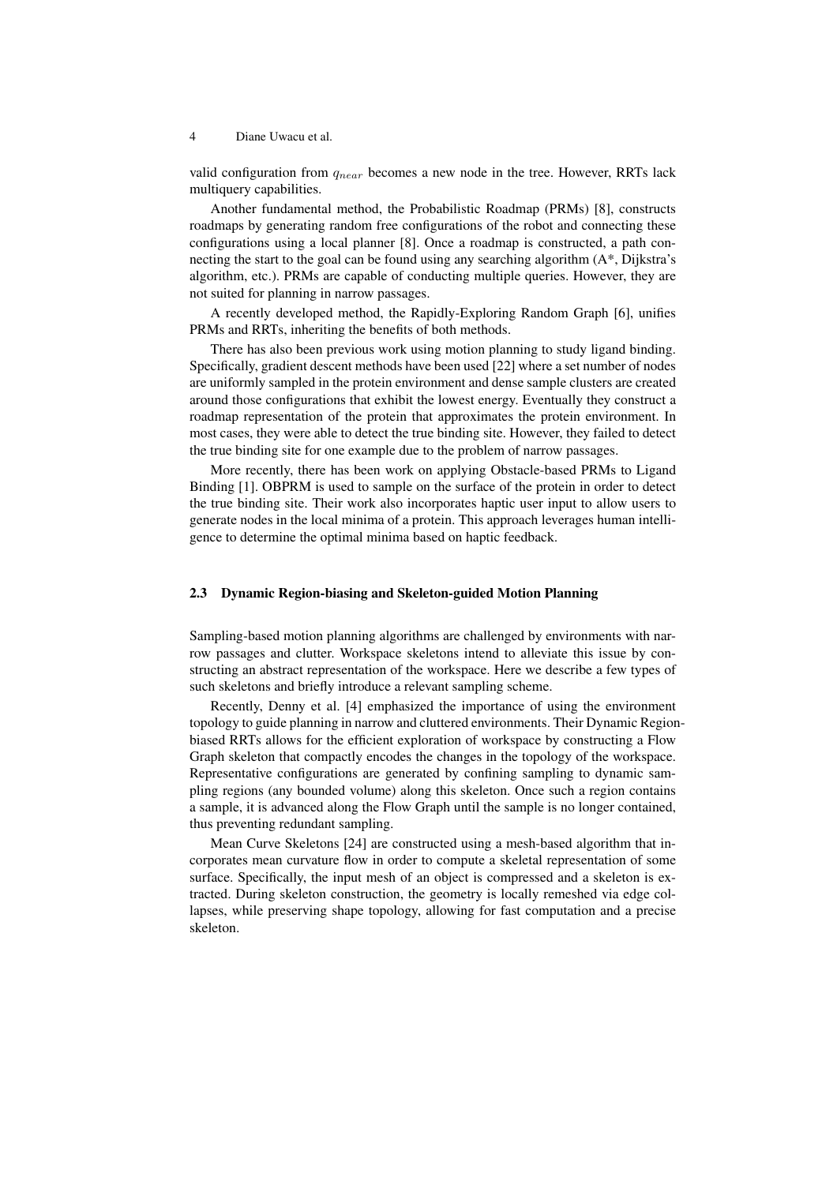valid configuration from  $q_{near}$  becomes a new node in the tree. However, RRTs lack multiquery capabilities.

Another fundamental method, the Probabilistic Roadmap (PRMs) [8], constructs roadmaps by generating random free configurations of the robot and connecting these configurations using a local planner [8]. Once a roadmap is constructed, a path connecting the start to the goal can be found using any searching algorithm  $(A^*, Dijkstra's)$ algorithm, etc.). PRMs are capable of conducting multiple queries. However, they are not suited for planning in narrow passages.

A recently developed method, the Rapidly-Exploring Random Graph [6], unifies PRMs and RRTs, inheriting the benefits of both methods.

There has also been previous work using motion planning to study ligand binding. Specifically, gradient descent methods have been used [22] where a set number of nodes are uniformly sampled in the protein environment and dense sample clusters are created around those configurations that exhibit the lowest energy. Eventually they construct a roadmap representation of the protein that approximates the protein environment. In most cases, they were able to detect the true binding site. However, they failed to detect the true binding site for one example due to the problem of narrow passages.

More recently, there has been work on applying Obstacle-based PRMs to Ligand Binding [1]. OBPRM is used to sample on the surface of the protein in order to detect the true binding site. Their work also incorporates haptic user input to allow users to generate nodes in the local minima of a protein. This approach leverages human intelligence to determine the optimal minima based on haptic feedback.

## 2.3 Dynamic Region-biasing and Skeleton-guided Motion Planning

Sampling-based motion planning algorithms are challenged by environments with narrow passages and clutter. Workspace skeletons intend to alleviate this issue by constructing an abstract representation of the workspace. Here we describe a few types of such skeletons and briefly introduce a relevant sampling scheme.

Recently, Denny et al. [4] emphasized the importance of using the environment topology to guide planning in narrow and cluttered environments. Their Dynamic Regionbiased RRTs allows for the efficient exploration of workspace by constructing a Flow Graph skeleton that compactly encodes the changes in the topology of the workspace. Representative configurations are generated by confining sampling to dynamic sampling regions (any bounded volume) along this skeleton. Once such a region contains a sample, it is advanced along the Flow Graph until the sample is no longer contained, thus preventing redundant sampling.

Mean Curve Skeletons [24] are constructed using a mesh-based algorithm that incorporates mean curvature flow in order to compute a skeletal representation of some surface. Specifically, the input mesh of an object is compressed and a skeleton is extracted. During skeleton construction, the geometry is locally remeshed via edge collapses, while preserving shape topology, allowing for fast computation and a precise skeleton.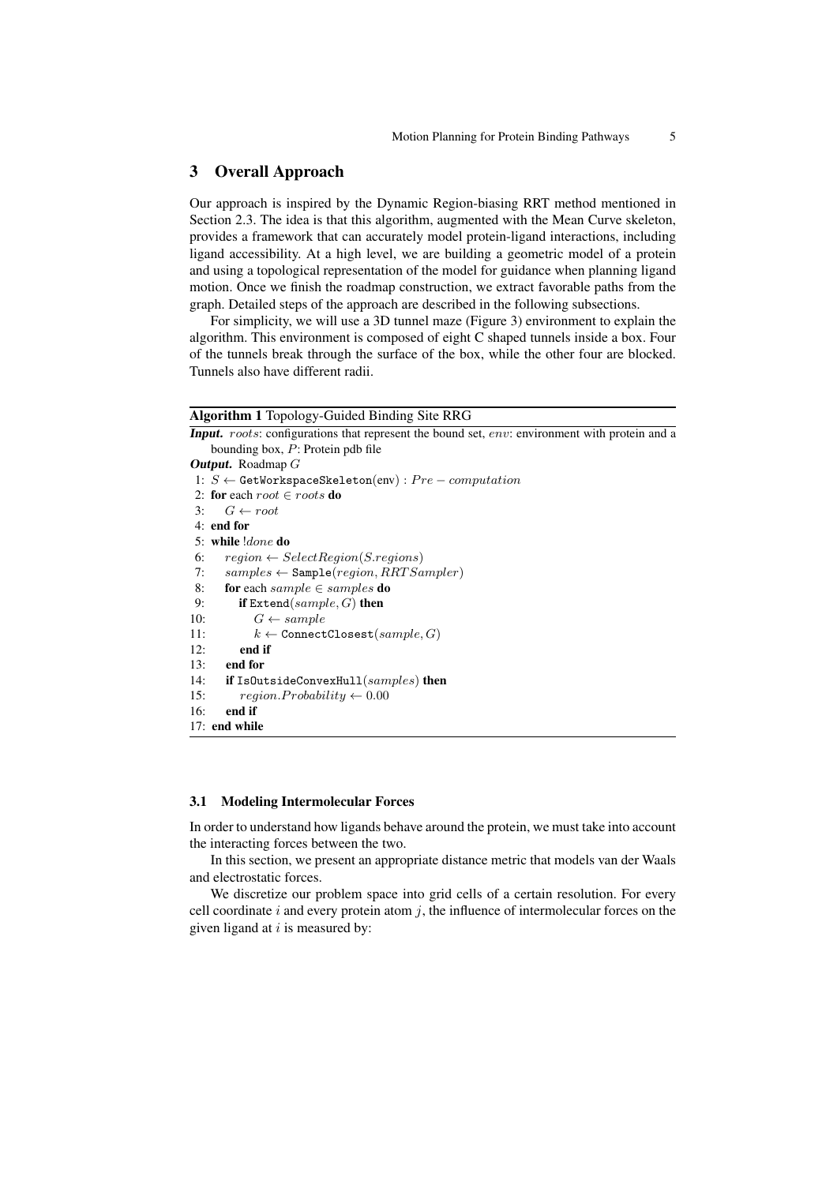# 3 Overall Approach

Our approach is inspired by the Dynamic Region-biasing RRT method mentioned in Section 2.3. The idea is that this algorithm, augmented with the Mean Curve skeleton, provides a framework that can accurately model protein-ligand interactions, including ligand accessibility. At a high level, we are building a geometric model of a protein and using a topological representation of the model for guidance when planning ligand motion. Once we finish the roadmap construction, we extract favorable paths from the graph. Detailed steps of the approach are described in the following subsections.

For simplicity, we will use a 3D tunnel maze (Figure 3) environment to explain the algorithm. This environment is composed of eight C shaped tunnels inside a box. Four of the tunnels break through the surface of the box, while the other four are blocked. Tunnels also have different radii.

### Algorithm 1 Topology-Guided Binding Site RRG

Input. roots: configurations that represent the bound set, env: environment with protein and a bounding box, P: Protein pdb file

```
Output. Roadmap G
1: S \leftarrow GetWorkspaceSkeleton(env) : Pre-computation2: for each root \in roots do
3: G \leftarrow root4: end for
5: while !done do
6: region \leftarrow SelectRegion(S.regions)7: samples \leftarrow Sample-region, RRTSample)8: for each sample \in samples do
9: if \text{Extend}(sample, G) then
10: G \leftarrow sample11: k \leftarrow ConnectClosest(sample, G)
12: end if
13: end for
14: if IsOutsideConvexHull(samples) then
15: region. Probability \leftarrow 0.0016: end if
17: end while
```
### 3.1 Modeling Intermolecular Forces

In order to understand how ligands behave around the protein, we must take into account the interacting forces between the two.

In this section, we present an appropriate distance metric that models van der Waals and electrostatic forces.

We discretize our problem space into grid cells of a certain resolution. For every cell coordinate i and every protein atom  $i$ , the influence of intermolecular forces on the given ligand at  $i$  is measured by: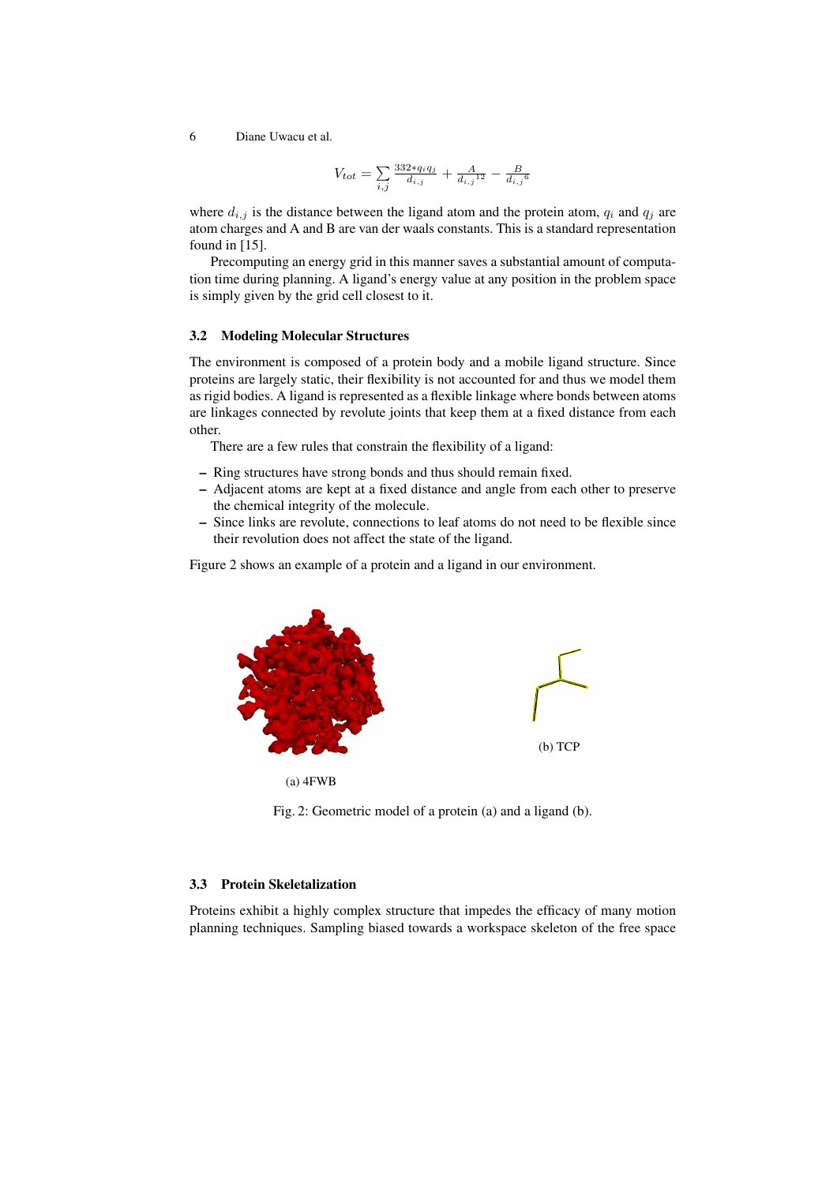$$
V_{tot} = \sum_{i,j} \frac{332 \cdot q_i q_j}{d_{i,j}} + \frac{A}{d_{i,j}^{12}} - \frac{B}{d_{i,j}^{6}}
$$

where  $d_{i,j}$  is the distance between the ligand atom and the protein atom,  $q_i$  and  $q_j$  are atom charges and A and B are van der waals constants. This is a standard representation found in [15].

Precomputing an energy grid in this manner saves a substantial amount of computation time during planning. A ligand's energy value at any position in the problem space is simply given by the grid cell closest to it.

# 3.2 Modeling Molecular Structures

The environment is composed of a protein body and a mobile ligand structure. Since proteins are largely static, their flexibility is not accounted for and thus we model them as rigid bodies. A ligand is represented as a flexible linkage where bonds between atoms are linkages connected by revolute joints that keep them at a fixed distance from each other.

There are a few rules that constrain the flexibility of a ligand:

- Ring structures have strong bonds and thus should remain fixed.
- Adjacent atoms are kept at a fixed distance and angle from each other to preserve the chemical integrity of the molecule.
- Since links are revolute, connections to leaf atoms do not need to be flexible since their revolution does not affect the state of the ligand.

Figure 2 shows an example of a protein and a ligand in our environment.



(a) 4FWB

Fig. 2: Geometric model of a protein (a) and a ligand (b).

# 3.3 Protein Skeletalization

Proteins exhibit a highly complex structure that impedes the efficacy of many motion planning techniques. Sampling biased towards a workspace skeleton of the free space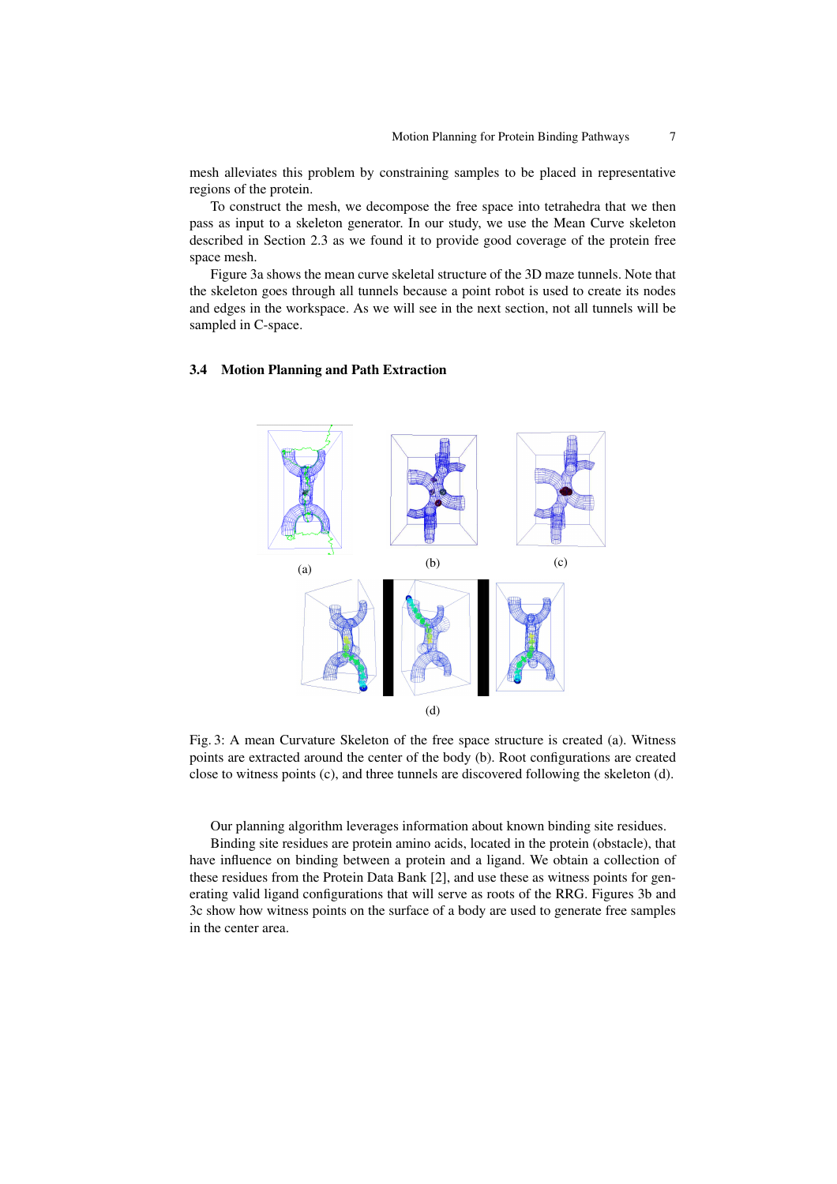mesh alleviates this problem by constraining samples to be placed in representative regions of the protein.

To construct the mesh, we decompose the free space into tetrahedra that we then pass as input to a skeleton generator. In our study, we use the Mean Curve skeleton described in Section 2.3 as we found it to provide good coverage of the protein free space mesh.

Figure 3a shows the mean curve skeletal structure of the 3D maze tunnels. Note that the skeleton goes through all tunnels because a point robot is used to create its nodes and edges in the workspace. As we will see in the next section, not all tunnels will be sampled in C-space.

### 3.4 Motion Planning and Path Extraction



Fig. 3: A mean Curvature Skeleton of the free space structure is created (a). Witness points are extracted around the center of the body (b). Root configurations are created close to witness points (c), and three tunnels are discovered following the skeleton (d).

Our planning algorithm leverages information about known binding site residues.

Binding site residues are protein amino acids, located in the protein (obstacle), that have influence on binding between a protein and a ligand. We obtain a collection of these residues from the Protein Data Bank [2], and use these as witness points for generating valid ligand configurations that will serve as roots of the RRG. Figures 3b and 3c show how witness points on the surface of a body are used to generate free samples in the center area.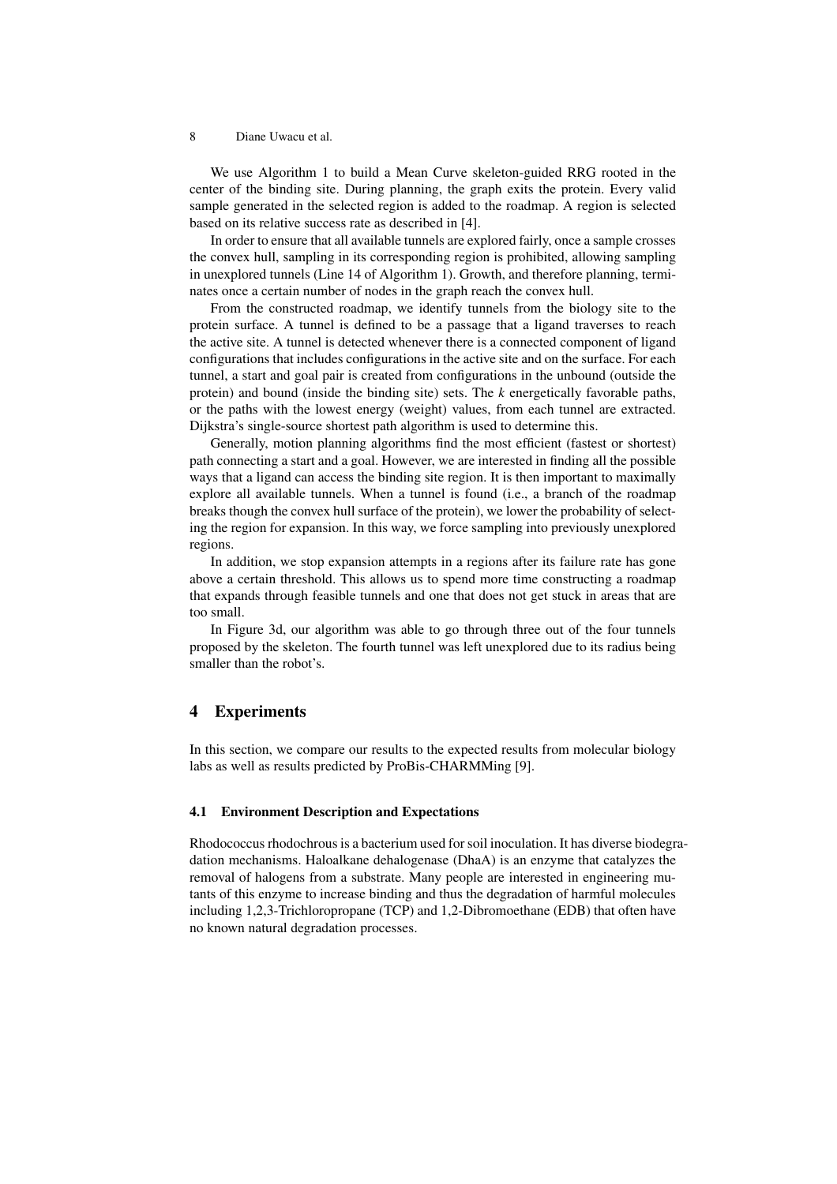We use Algorithm 1 to build a Mean Curve skeleton-guided RRG rooted in the center of the binding site. During planning, the graph exits the protein. Every valid sample generated in the selected region is added to the roadmap. A region is selected based on its relative success rate as described in [4].

In order to ensure that all available tunnels are explored fairly, once a sample crosses the convex hull, sampling in its corresponding region is prohibited, allowing sampling in unexplored tunnels (Line 14 of Algorithm 1). Growth, and therefore planning, terminates once a certain number of nodes in the graph reach the convex hull.

From the constructed roadmap, we identify tunnels from the biology site to the protein surface. A tunnel is defined to be a passage that a ligand traverses to reach the active site. A tunnel is detected whenever there is a connected component of ligand configurations that includes configurations in the active site and on the surface. For each tunnel, a start and goal pair is created from configurations in the unbound (outside the protein) and bound (inside the binding site) sets. The *k* energetically favorable paths, or the paths with the lowest energy (weight) values, from each tunnel are extracted. Dijkstra's single-source shortest path algorithm is used to determine this.

Generally, motion planning algorithms find the most efficient (fastest or shortest) path connecting a start and a goal. However, we are interested in finding all the possible ways that a ligand can access the binding site region. It is then important to maximally explore all available tunnels. When a tunnel is found (i.e., a branch of the roadmap breaks though the convex hull surface of the protein), we lower the probability of selecting the region for expansion. In this way, we force sampling into previously unexplored regions.

In addition, we stop expansion attempts in a regions after its failure rate has gone above a certain threshold. This allows us to spend more time constructing a roadmap that expands through feasible tunnels and one that does not get stuck in areas that are too small.

In Figure 3d, our algorithm was able to go through three out of the four tunnels proposed by the skeleton. The fourth tunnel was left unexplored due to its radius being smaller than the robot's.

# 4 Experiments

In this section, we compare our results to the expected results from molecular biology labs as well as results predicted by ProBis-CHARMMing [9].

### 4.1 Environment Description and Expectations

Rhodococcus rhodochrous is a bacterium used for soil inoculation. It has diverse biodegradation mechanisms. Haloalkane dehalogenase (DhaA) is an enzyme that catalyzes the removal of halogens from a substrate. Many people are interested in engineering mutants of this enzyme to increase binding and thus the degradation of harmful molecules including 1,2,3-Trichloropropane (TCP) and 1,2-Dibromoethane (EDB) that often have no known natural degradation processes.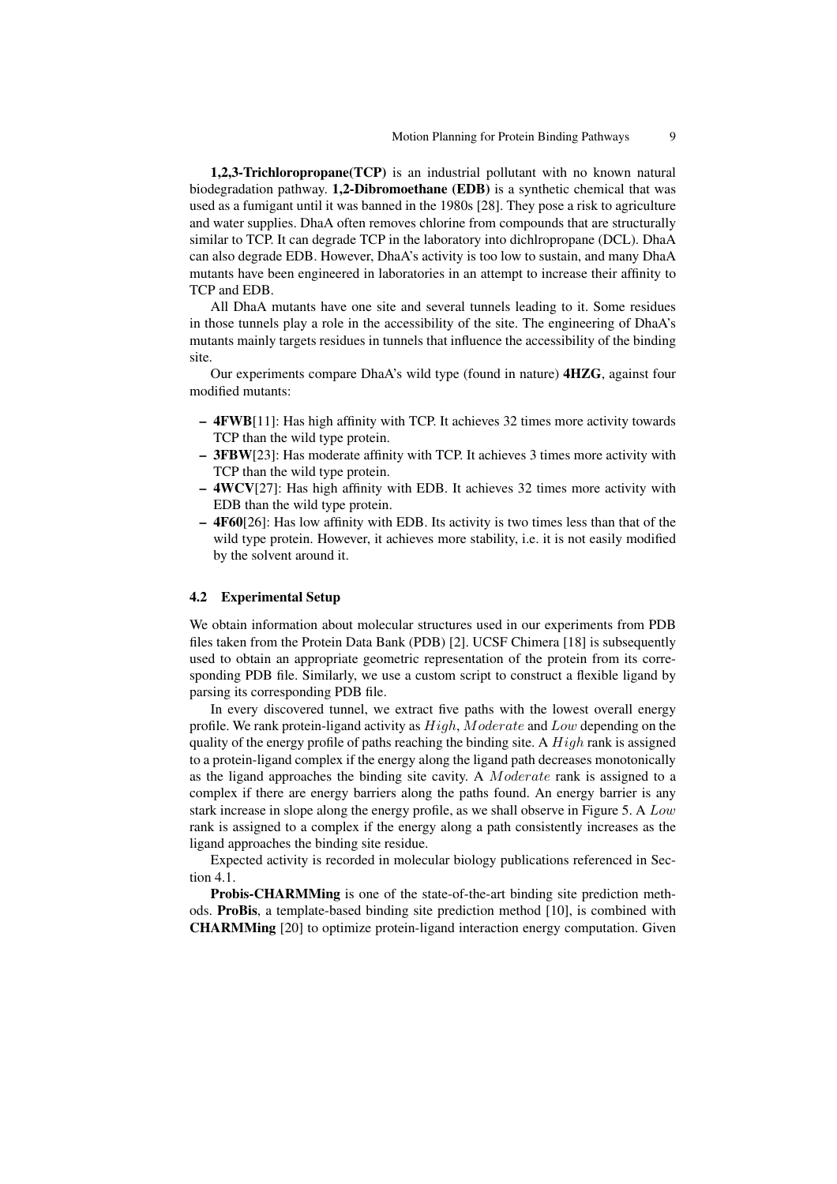1,2,3-Trichloropropane(TCP) is an industrial pollutant with no known natural biodegradation pathway. 1,2-Dibromoethane (EDB) is a synthetic chemical that was used as a fumigant until it was banned in the 1980s [28]. They pose a risk to agriculture and water supplies. DhaA often removes chlorine from compounds that are structurally similar to TCP. It can degrade TCP in the laboratory into dichlropropane (DCL). DhaA can also degrade EDB. However, DhaA's activity is too low to sustain, and many DhaA mutants have been engineered in laboratories in an attempt to increase their affinity to TCP and EDB.

All DhaA mutants have one site and several tunnels leading to it. Some residues in those tunnels play a role in the accessibility of the site. The engineering of DhaA's mutants mainly targets residues in tunnels that influence the accessibility of the binding site.

Our experiments compare DhaA's wild type (found in nature) 4HZG, against four modified mutants:

- 4FWB[11]: Has high affinity with TCP. It achieves 32 times more activity towards TCP than the wild type protein.
- 3FBW[23]: Has moderate affinity with TCP. It achieves 3 times more activity with TCP than the wild type protein.
- 4WCV[27]: Has high affinity with EDB. It achieves 32 times more activity with EDB than the wild type protein.
- 4F60[26]: Has low affinity with EDB. Its activity is two times less than that of the wild type protein. However, it achieves more stability, i.e. it is not easily modified by the solvent around it.

### 4.2 Experimental Setup

We obtain information about molecular structures used in our experiments from PDB files taken from the Protein Data Bank (PDB) [2]. UCSF Chimera [18] is subsequently used to obtain an appropriate geometric representation of the protein from its corresponding PDB file. Similarly, we use a custom script to construct a flexible ligand by parsing its corresponding PDB file.

In every discovered tunnel, we extract five paths with the lowest overall energy profile. We rank protein-ligand activity as  $High$ ,  $Modernate$  and  $Low$  depending on the quality of the energy profile of paths reaching the binding site. A  $High$  rank is assigned to a protein-ligand complex if the energy along the ligand path decreases monotonically as the ligand approaches the binding site cavity. A Moderate rank is assigned to a complex if there are energy barriers along the paths found. An energy barrier is any stark increase in slope along the energy profile, as we shall observe in Figure 5. A Low rank is assigned to a complex if the energy along a path consistently increases as the ligand approaches the binding site residue.

Expected activity is recorded in molecular biology publications referenced in Section 4.1.

Probis-CHARMMing is one of the state-of-the-art binding site prediction methods. ProBis, a template-based binding site prediction method [10], is combined with CHARMMing [20] to optimize protein-ligand interaction energy computation. Given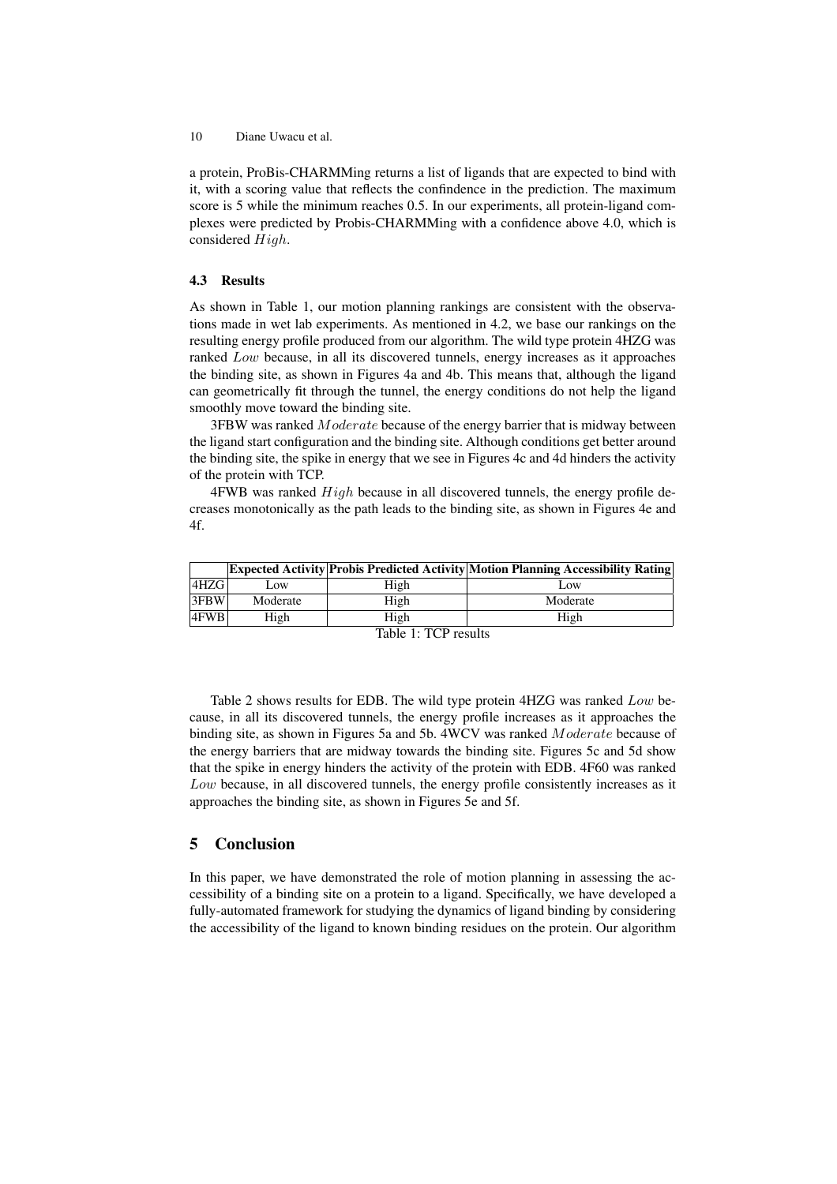a protein, ProBis-CHARMMing returns a list of ligands that are expected to bind with it, with a scoring value that reflects the confindence in the prediction. The maximum score is 5 while the minimum reaches 0.5. In our experiments, all protein-ligand complexes were predicted by Probis-CHARMMing with a confidence above 4.0, which is considered High.

## 4.3 Results

As shown in Table 1, our motion planning rankings are consistent with the observations made in wet lab experiments. As mentioned in 4.2, we base our rankings on the resulting energy profile produced from our algorithm. The wild type protein 4HZG was ranked Low because, in all its discovered tunnels, energy increases as it approaches the binding site, as shown in Figures 4a and 4b. This means that, although the ligand can geometrically fit through the tunnel, the energy conditions do not help the ligand smoothly move toward the binding site.

3FBW was ranked Moderate because of the energy barrier that is midway between the ligand start configuration and the binding site. Although conditions get better around the binding site, the spike in energy that we see in Figures 4c and 4d hinders the activity of the protein with TCP.

4FWB was ranked High because in all discovered tunnels, the energy profile decreases monotonically as the path leads to the binding site, as shown in Figures 4e and 4f.

|                              |          |      | <b>Expected Activity Probis Predicted Activity Motion Planning Accessibility Rating</b> |  |  |
|------------------------------|----------|------|-----------------------------------------------------------------------------------------|--|--|
| 4HZG                         | Low      | High | Low                                                                                     |  |  |
| $3$ FBW                      | Moderate | High | Moderate                                                                                |  |  |
| $4$ FWB                      | High     | High | High                                                                                    |  |  |
| <b>PR</b> 11 1<br>$\sqrt{2}$ |          |      |                                                                                         |  |  |

Table 1: TCP results

Table 2 shows results for EDB. The wild type protein 4HZG was ranked Low because, in all its discovered tunnels, the energy profile increases as it approaches the binding site, as shown in Figures 5a and 5b. 4WCV was ranked Moderate because of the energy barriers that are midway towards the binding site. Figures 5c and 5d show that the spike in energy hinders the activity of the protein with EDB. 4F60 was ranked Low because, in all discovered tunnels, the energy profile consistently increases as it approaches the binding site, as shown in Figures 5e and 5f.

# 5 Conclusion

In this paper, we have demonstrated the role of motion planning in assessing the accessibility of a binding site on a protein to a ligand. Specifically, we have developed a fully-automated framework for studying the dynamics of ligand binding by considering the accessibility of the ligand to known binding residues on the protein. Our algorithm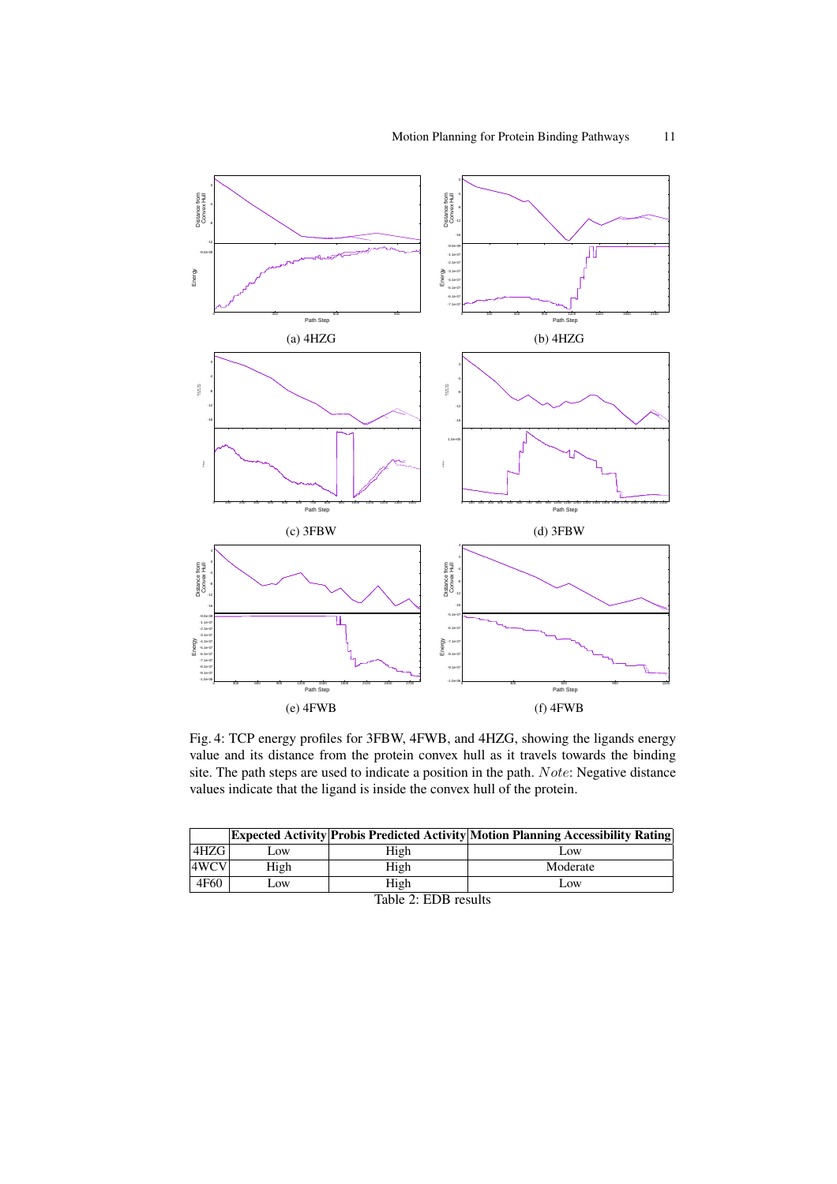

Fig. 4: TCP energy profiles for 3FBW, 4FWB, and 4HZG, showing the ligands energy value and its distance from the protein convex hull as it travels towards the binding site. The path steps are used to indicate a position in the path. Note: Negative distance values indicate that the ligand is inside the convex hull of the protein.

|              |      |      | <b>Expected Activity Probis Predicted Activity Motion Planning Accessibility Rating</b> |  |  |
|--------------|------|------|-----------------------------------------------------------------------------------------|--|--|
| 4HZG I       | Low. | High | Low                                                                                     |  |  |
| 4WCV         | High | High | Moderate                                                                                |  |  |
| 4F60         | Low. | High | Low                                                                                     |  |  |
| ---<br>----- |      |      |                                                                                         |  |  |

Table 2: EDB results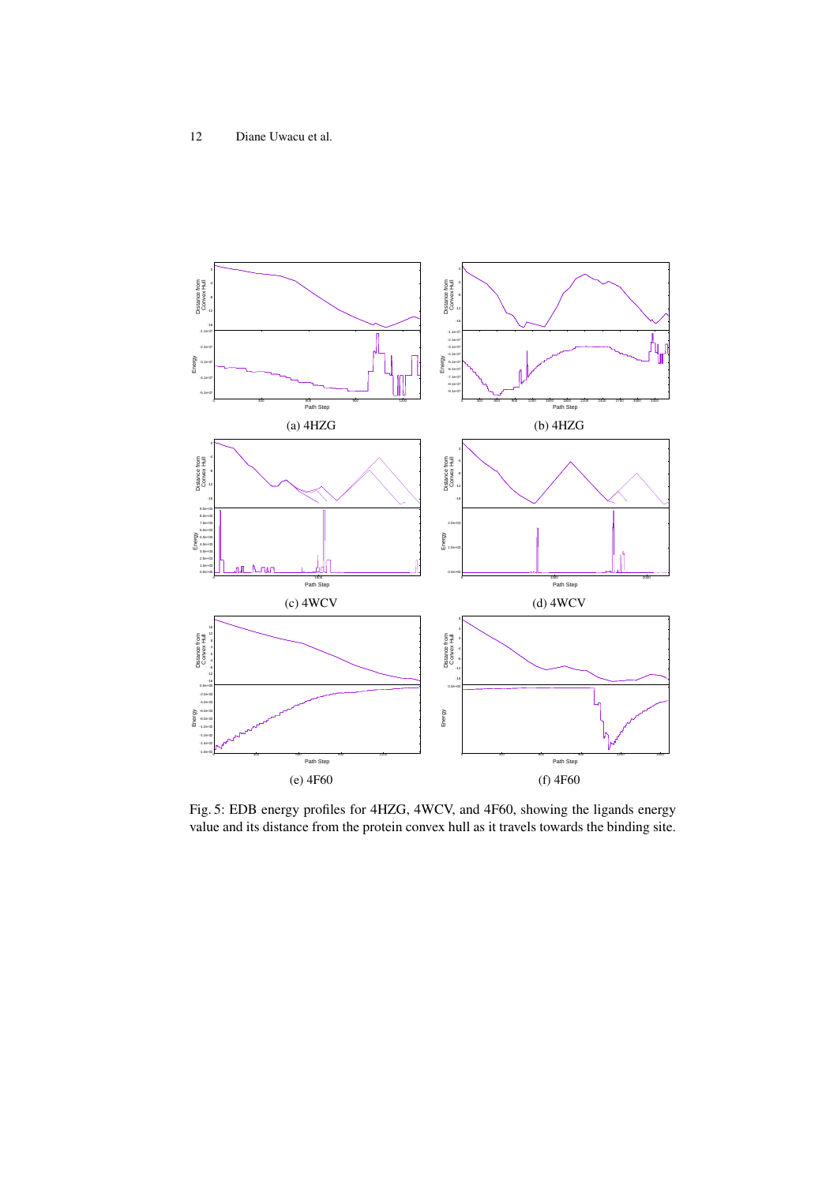

Fig. 5: EDB energy profiles for 4HZG, 4WCV, and 4F60, showing the ligands energy value and its distance from the protein convex hull as it travels towards the binding site.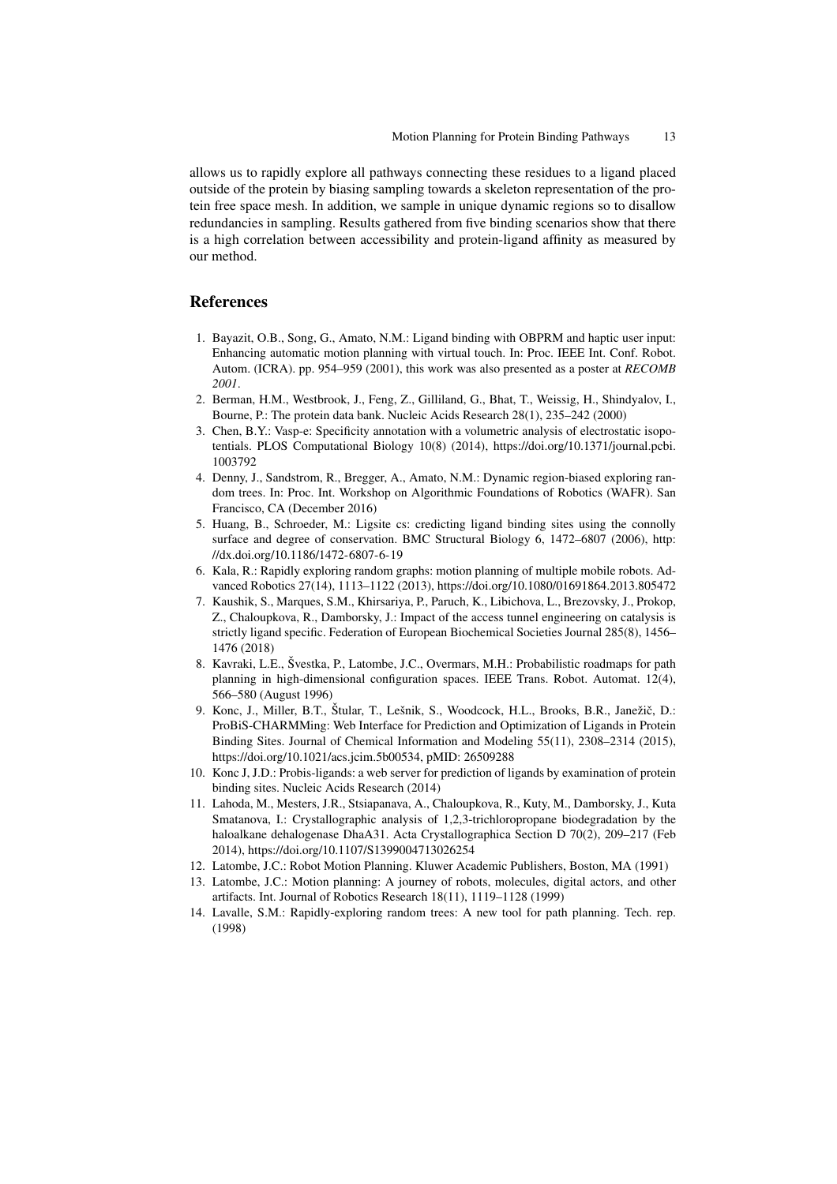allows us to rapidly explore all pathways connecting these residues to a ligand placed outside of the protein by biasing sampling towards a skeleton representation of the protein free space mesh. In addition, we sample in unique dynamic regions so to disallow redundancies in sampling. Results gathered from five binding scenarios show that there is a high correlation between accessibility and protein-ligand affinity as measured by our method.

# **References**

- 1. Bayazit, O.B., Song, G., Amato, N.M.: Ligand binding with OBPRM and haptic user input: Enhancing automatic motion planning with virtual touch. In: Proc. IEEE Int. Conf. Robot. Autom. (ICRA). pp. 954–959 (2001), this work was also presented as a poster at *RECOMB 2001*.
- 2. Berman, H.M., Westbrook, J., Feng, Z., Gilliland, G., Bhat, T., Weissig, H., Shindyalov, I., Bourne, P.: The protein data bank. Nucleic Acids Research 28(1), 235–242 (2000)
- 3. Chen, B.Y.: Vasp-e: Specificity annotation with a volumetric analysis of electrostatic isopotentials. PLOS Computational Biology 10(8) (2014), https://doi.org/10.1371/journal.pcbi. 1003792
- 4. Denny, J., Sandstrom, R., Bregger, A., Amato, N.M.: Dynamic region-biased exploring random trees. In: Proc. Int. Workshop on Algorithmic Foundations of Robotics (WAFR). San Francisco, CA (December 2016)
- 5. Huang, B., Schroeder, M.: Ligsite cs: credicting ligand binding sites using the connolly surface and degree of conservation. BMC Structural Biology 6, 1472–6807 (2006), http: //dx.doi.org/10.1186/1472-6807-6-19
- 6. Kala, R.: Rapidly exploring random graphs: motion planning of multiple mobile robots. Advanced Robotics 27(14), 1113–1122 (2013), https://doi.org/10.1080/01691864.2013.805472
- 7. Kaushik, S., Marques, S.M., Khirsariya, P., Paruch, K., Libichova, L., Brezovsky, J., Prokop, Z., Chaloupkova, R., Damborsky, J.: Impact of the access tunnel engineering on catalysis is strictly ligand specific. Federation of European Biochemical Societies Journal 285(8), 1456– 1476 (2018)
- 8. Kavraki, L.E., Švestka, P., Latombe, J.C., Overmars, M.H.: Probabilistic roadmaps for path planning in high-dimensional configuration spaces. IEEE Trans. Robot. Automat. 12(4), 566–580 (August 1996)
- 9. Konc, J., Miller, B.T., Štular, T., Lešnik, S., Woodcock, H.L., Brooks, B.R., Janežič, D.: ProBiS-CHARMMing: Web Interface for Prediction and Optimization of Ligands in Protein Binding Sites. Journal of Chemical Information and Modeling 55(11), 2308–2314 (2015), https://doi.org/10.1021/acs.jcim.5b00534, pMID: 26509288
- 10. Konc J, J.D.: Probis-ligands: a web server for prediction of ligands by examination of protein binding sites. Nucleic Acids Research (2014)
- 11. Lahoda, M., Mesters, J.R., Stsiapanava, A., Chaloupkova, R., Kuty, M., Damborsky, J., Kuta Smatanova, I.: Crystallographic analysis of 1,2,3-trichloropropane biodegradation by the haloalkane dehalogenase DhaA31. Acta Crystallographica Section D 70(2), 209–217 (Feb 2014), https://doi.org/10.1107/S1399004713026254
- 12. Latombe, J.C.: Robot Motion Planning. Kluwer Academic Publishers, Boston, MA (1991)
- 13. Latombe, J.C.: Motion planning: A journey of robots, molecules, digital actors, and other artifacts. Int. Journal of Robotics Research 18(11), 1119–1128 (1999)
- 14. Lavalle, S.M.: Rapidly-exploring random trees: A new tool for path planning. Tech. rep. (1998)